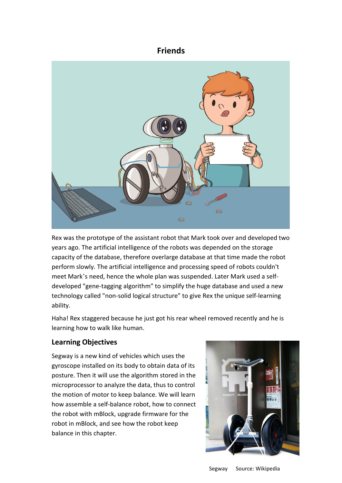# **Friends**



Rex was the prototype of the assistant robot that Mark took over and developed two years ago. The artificial intelligence of the robots was depended on the storage capacity of the database, therefore overlarge database at that time made the robot perform slowly. The artificial intelligence and processing speed of robots couldn't meet Mark's need, hence the whole plan was suspended. Later Mark used a self developed "gene-tagging algorithm" to simplify the huge database and used a new technology called "non-solid logical structure" to give Rex the unique self-learning ability.

Haha! Rex staggered because he just got his rear wheel removed recently and he is learning how to walk like human.

## **Learning Objectives**

Segway is a new kind of vehicles which uses the gyroscope installed on its body to obtain data of its posture. Then it will use the algorithm stored in the microprocessor to analyze the data, thus to control the motion of motor to keep balance. We will learn how assemble a self-balance robot, how to connect the robot with mBlock, upgrade firmware for the robot in mBlock, and see how the robot keep balance in this chapter.

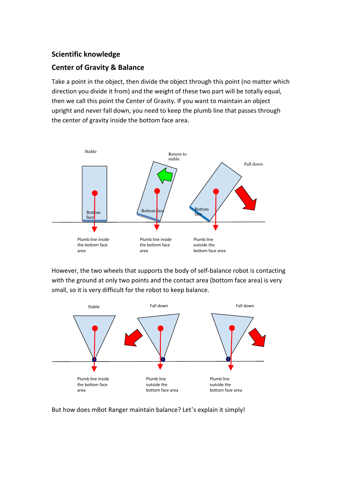### **Scientific knowledge**

#### **Center of Gravity & Balance**

Take a point in the object, then divide the object through this point (no matter which direction you divide it from) and the weight of these two part will be totally equal, then we call this point the Center of Gravity. If you want to maintain an object upright and never fall down, you need to keep the plumb line that passes through the center of gravity inside the bottom face area.



However, the two wheels that supports the body of self-balance robot is contacting with the ground at only two points and the contact area (bottom face area) is very small, so it is very difficult for the robot to keep balance.



But how does mBot Ranger maintain balance? Let's explain it simply!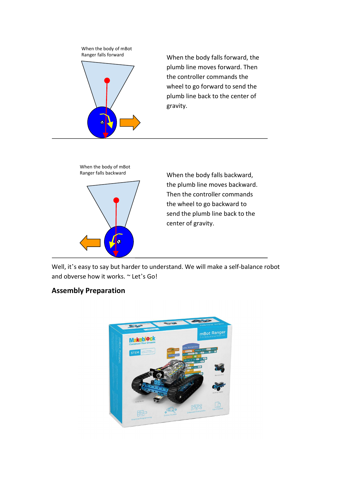

When the body falls forward, the plumb line moves forward. Then the controller commands the wheel to go forward to send the plumb line back to the center of gravity.



When the body falls backward, the plumb line moves backward. Then the controller commands the wheel to go backward to send the plumb line back to the center of gravity.

Well, it's easy to say but harder to understand. We will make a self-balance robot and obverse how it works. ~ Let's Go!

## **Assembly Preparation**

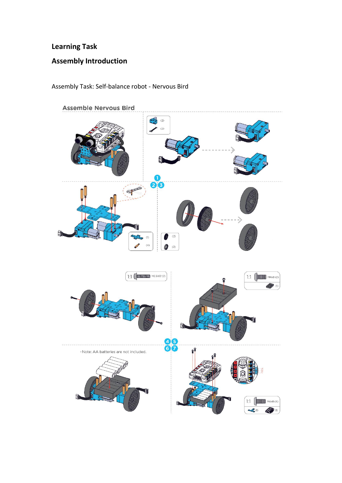# **Learning Task**

# **Assembly Introduction**

Assembly Task: Self-balance robot - Nervous Bird

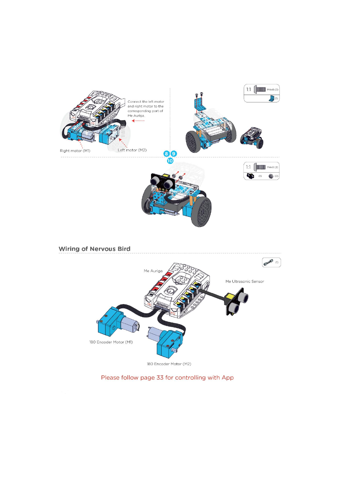



Please follow page 33 for controlling with App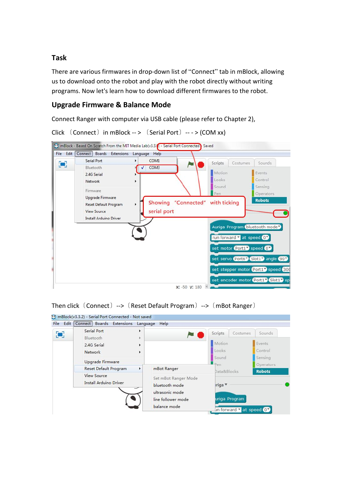### **Task**

There are various firmwares in drop-down list of "Connect" tab in mBlock, allowing us to download onto the robot and play with the robot directly without writing programs. Now let's learn how to download different firmwares to the robot.

### **Upgrade Firmware & Balance Mode**

Connect Ranger with computer via USB cable (please refer to Chapter 2),



```
Click (Connect) in mBlock -- (Serial Port) --- (COM xx)
```
Then click 〔Connect〕-->〔Reset Default Program〕-->〔mBot Ranger〕

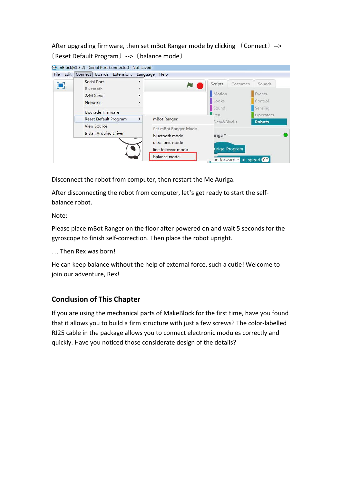After upgrading firmware, then set mBot Ranger mode by clicking  $(Connect)$  --> 〔Reset Default Program〕-->〔balance mode〕

| О | Serial Port                                  | Help<br>Language<br>٠                  | Scripts<br>Costumes      | Sounds:                    |
|---|----------------------------------------------|----------------------------------------|--------------------------|----------------------------|
|   | Bluetooth<br>2.4G Serial                     |                                        | Motion                   | Events                     |
|   | <b>Network</b>                               |                                        | Looks                    | Control                    |
|   | Upgrade Firmware                             |                                        | Sound                    | Sensing                    |
|   | Reset Default Program                        | mBot Ranger<br>٠                       | $-p_{en}$<br>Data&Blocks | Operators<br><b>Robots</b> |
|   | <b>View Source</b><br>Install Arduino Driver | Set mBot Ranger Mode<br>bluetooth mode | iriga ▼                  |                            |
|   |                                              | ultrasonic mode<br>line follower mode  | uriga Program            |                            |
|   |                                              | balance mode                           | un forward v at speed 0  |                            |

Disconnect the robot from computer, then restart the Me Auriga.<br>After disconnecting the robot from computer, let's get ready to start the selfbalance robot.

Note:

Please place mBot Ranger on the floor after powered on and wait 5 seconds for the gyroscope to finish self-correction. Then place the robot upright.

… Then Rex was born!

———————

He can keep balance without the help of external force, such a cutie! Welcome to join our adventure, Rex!

## **Conclusion of This Chapter**

If you are using the mechanical parts of MakeBlock for the first time, have you found that it allows you to build a firm structure with just a few screws? The color-labelled RJ25 cable in the package allows you to connect electronic modules correctly and quickly. Have you noticed those considerate design of the details?

———————————————————————————————————————